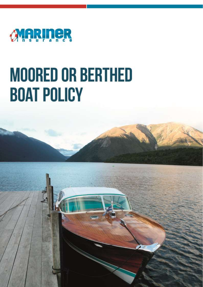

# **MOORED OR BERTHED BOAT POLICY**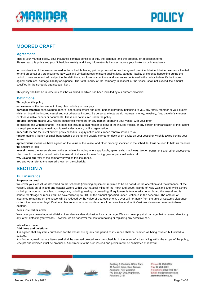



# **MOORED CRAFT**

## **Agreement**

This is your Mariner policy. Your insurance contract consists of this, the schedule and the proposal or application form. Please read this policy and your Schedule carefully and if any information is incorrect advise your broker or us immediately.

In consideration of the insured named in the schedule having paid or promised to pay the agreed premium Mariner Mariner Insurance Limited for and on behalf of Vero Insurance New Zealand Limited agrees to insure against loss, damage, liability or expense happening during the period of insurance and will, subject to the definitions, exclusions, conditions and warranties contained in the policy, indemnify the insured against such loss, damage, liability or expense. The total liability of the company in respect of the vessel shall not exceed the amount specified in the schedule against each item.

This policy shall not be in force unless it has a schedule which has been initialled by our authorised official.

## **Definitions**

Throughout this policy:

**excess** means the first amount of any claim which you must pay.

**personal effects** means wearing apparel, sports equipment and other personal property belonging to you, any family member or your guests whilst on board the insured vessel and not otherwise insured. By personal effects we do not mean money, jewellery, furs, traveller's cheques, or other valuable papers or documents. These are not insured under the policy.

**insured person** means you, related household members or any person operating your vessel with your prior

permission and without charge. This does not include a paid master or crew of the insured vessel, or any person or organisation or their agent or employee operating a marina, shipyard, sales agency or like organisation.

**schedule** means the latest current policy schedule, expiry notice or insurance renewal issued to you.

**tender** means a launch or small boat capable of being and usually carried on deck or on davits on your vessel or which is towed behind your vessel

**agreed value** means we have agreed on the value of the vessel and other property specified in the schedule. It will be used to help us measure the amount of loss.

**vessel** means the vessel shown on the schedule, including where applicable, spars, sails, machinery, tender, equipment and other accessories which would normally be sold with the vessel. It does not mean fishing gear or personal watercraft.

**we, us,** and **our** refer to the company providing this insurance.

**you** and **your** refer to the insured shown on the schedule.

# **SECTION A**

## **Hull insurance**

## **Property insured**

We cover your vessel, as described on the schedule (including equipment required to be on board for the operation and maintenance of the vessel), afloat on all inland and coastal waters within 200 nautical miles of the North and South Islands of New Zealand and while ashore or being transported on a land conveyance, including loading or unloading. If equipment is temporarily not on board the vessel and is ashore for storage or repair it will be covered for up to 20% of the amount specified under Section A in the schedule. The amount of insurance remaining on the vessel will be reduced by the value of that equipment. Cover will not apply from the time of Customs clearance, or from the time when legal Customs clearance is required on departure from New Zealand, until Customs clearance on return to New Zealand.

## **Perils insured or cover**

We cover your vessel against all risks of sudden accidental physical loss or damage. We also cover physical damage that is caused directly by any latent defect in your vessel. However, we do not cover the cost of repairing or replacing any defective part.

## We will also cover:

## **Additions and deletions**

It is agreed that any items purchased for the vessel during any one period of insurance shall be deemed as being covered but limited to \$25,000.

It is further agreed that any items sold shall be deemed deleted from the schedule. In the event of a loss falling within the scope of the policy, receipts and invoices must be produced. Adjustments to the sum insured and premium will be completed at renewal.





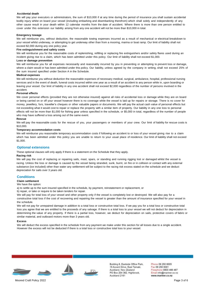## **Accidental death**

We will pay your executors or administrators, the sum of \$10,000 if at any time during the period of insurance you shall sustain accidental bodily injury whilst on board your vessel (including embarking and disembarking therefrom) which shall solely and independently of any other cause result in your death within 12 calendar months from the date of accident. Where there is more than one person entitled to cover under this extension our liability arising from any one accident will not be more than \$10,000 in total.

### **Emergency towage**

We will reimburse you, without deduction, the reasonable towing expenses incurred as a result of mechanical or electrical breakdown to your vessel whilst underway, or attempting to get underway other than from a mooring, marina or boat ramp. Our limit of liability shall not exceed \$2,000 during any one policy year.

### **Fire extinguishment and safety costs**

We will reimburse you for the reasonable costs of replenishing, refilling or replacing fire extinguishers and/or safety flares used during an incident giving rise to a claim, which has been admitted under this policy. Our limit of liability shall not exceed \$1,000.

### **Loss or damage prevention**

We will reimburse you for all expenses necessarily and reasonably incurred by you in preventing or attempting to prevent loss or damage, where a claim would or has been admitted under this policy. Our liability, unless agreed by the company in writing, shall not exceed 25% of the sum insured specified under Section A in the Schedule.

#### **Medical expenses**

We will reimburse you without deduction the reasonable expenses of necessary medical, surgical, ambulance, hospital, professional nursing services and in the event of death, funeral costs incurred within one year as a result of an accident to any person while in, upon boarding or leaving your vessel. Our limit of liability in any one accident shall not exceed \$2,000 regardless of the number of persons involved in the accident.

## **Personal effects**

We cover personal effects (provided they are not otherwise insured) against all risks of accidental loss or damage while they are on board or being carried on or off your vessel however there is no coverage while the vessel is laid up for repairs or storage. There is no cover for money, jewellery, furs, traveller's cheques or other valuable papers or documents. We will pay the actual cash value of personal effects but not exceeding what it would cost to repair or replace the property with a similar item of property. Our liability in any one loss to personal effects will not be more than \$1,000 for fishing gear unless specified in the schedule, or \$5,000 in total, regardless of the number of people who may have suffered a loss arising out of the same event.

## **Rescue**

We will pay the reasonable costs for the rescue of you, your passengers or members of your crew. Our limit of liability for rescue costs is \$10,000.

#### **Temporary accommodation costs**

We will reimburse you reasonable temporary accommodation costs if following an accident to or loss of your vessel giving rise to a claim which has been admitted under this policy you are unable to return to your usual place of residence. Our limit of liability shall not exceed \$1,000.

## **Optional extensions**

These optional clauses will only apply if there is a statement on the Schedule that they apply.

#### **Racing risk**

We will pay the cost of replacing or repairing sails, mast, spars, or standing and running rigging lost or damaged whilst the vessel is racing. Unless the loss or damage is caused by the vessel being stranded, sunk, burnt, on fire or in collision or contact with any external substance (ice included) other than water any settlement will be subject to the racing risk excess stated on the schedule and we deduct depreciation for sails over 3 years old.

## **Conditions**

## **Claim settlement**

## We have the option:

a) to settle up to the sum insured specified in the schedule, by payment, reinstatement or replacement, or

b) repair, or take or require to be taken tenders for repair.

We will pay for total loss of your vessel and other property only if the vessel is completely lost or destroyed. We will also pay for a constructive total loss if the cost of recovering and repairing the vessel is greater than the amount of insurance specified for your vessel in the schedule.

We will not pay for unrepaired damage in addition to a total loss or constructive total loss. If we pay you for a total loss or constructive total loss you agree that we are entitled to the proceeds of any salvage. If there is a total loss to your vessel we will not deduct for depreciation in determining the value of any property. If there is a partial loss, however, we deduct for depreciation on sails, protective covers of fabric or similar material, and outboard motors more than 3 years old.

### **Excess**

We will deduct the excess specified in the schedule from any payment we make under this section for all losses due to a single accident. However the excess will not be deducted if there is a total loss or constructive total loss to your vessel.





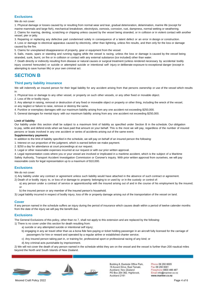## **Exclusions**

We do not cover:

1. Physical damage or losses caused by or resulting from normal wear and tear, gradual deterioration, delamination, marine life (except for

marine mammals and large fish), mechanical breakdown, electrolysis, osmosis, corrosion, rust, dampness, normal wetting or weathering.

2. Claims for marring, denting, scratching or chipping unless caused by the vessel being stranded, or in collision or in violent contact with another vessel, pier or jetty.

3. Repairing or replacing any defective part condemned solely in consequence of a latent defect or an error in design or construction.

4. Loss or damage to electrical apparatus caused by electricity, other than lightning, unless fire results, and then only for the loss or damage caused by the fire.

5. Claims for unexplained disappearance of property, gear or equipment from the vessel.

6. Sails, masts, spars or standing and running rigging while the vessel is racing, unless the loss or damage is caused by the vessel being stranded, sunk, burnt, on fire or in collision or contact with any external substance (ice included) other than water.

*7.* Death directly or indirectly resulting from disease or natural causes or surgical treatment (unless rendered necessary by accidental bodily injury covered hereunder) or suicide or attempted suicide or intentional self- injury or deliberate exposure to exceptional danger (except in attempting to save human life) or your own criminal act.

## **SECTION B**

## **Third party liability insurance**

We will indemnify an insured person for their legal liability for any accident arising from that persons ownership or use of the vessel which results in:

1. Physical loss or damage to any other vessel, or property on such other vessels, or any other fixed or movable object.

2. Loss of life or bodily injury.

3. Any attempt in raising, removal or destruction of any fixed or moveable object or property or other thing, including the wreck of the vessel,

or any neglect or failure to raise, remove or destroy the same.

4. Punitive or exemplary damages with our maximum liability arising from any one accident not exceeding \$250,000.

5. General damages for mental injury with our maximum liability arising from any one accident not exceeding \$250,000.

## **Limit of liability**

Our liability under this section shall be subject to a maximum limit of liability as specified under Section B in the schedule. Our obligation to pay, settle and defend ends when we have paid that amount on your behalf. This is the most we will pay, regardless of the number of insured persons or boats involved in any one accident or series of accidents arising out of the same event.

## **Supplementary payments**

In addition to the limit of liability specified in the schedule, we will pay on behalf of an insured person the following:

- 1. Interest on our proportion of the judgment, which is earned before we make payment.
- 2. \$250 a day for attendance at court proceedings at our request.
- 3. Legal or other reasonable expenses incurred at our request or with our prior written approval.

4. Legal representation costs where you or your vessel are involved or implicated in a maritime accident, which is the subject of a Maritime Safety Authority, Transport Accident Investigation Commission or Coroner's inquiry. With prior written approval from ourselves, we will pay reasonable costs for legal representation up to a maximum of \$10,000.

## **Exclusions**

We do not cover:

1) Any liability under any contract or agreement unless such liability would have attached in the absence of such contract or agreement.

- 2) Death of or bodily injury to, or loss of or damage to property belonging to or used by or in the custody or control of:
- a) any person under a contract of service or apprenticeship with the insured arising out of and in the course of his employment by the insured; or
- b) the insured person or any member of the insured person's household.

3) Legal liability incurred in respect of bodily injury, loss of life or property damage arising out of the transportation of the vessel on land.

## **Cover**

If any person named in the schedule suffers an injury during the period of insurance which causes death within a period of twelve calender months from the date of the injury we will pay the benefit due.

## **Exclusions**

The General Exclusions of this policy, other than no 7, shall not apply to this extension and are replaced by the following:

- 1) There is no cover under this section for death resulting from:
	- a) suicide or any attempted suicide or intentional self injury;
	- b) engaging in any air travel other than as a bona fide fare-paying or ticket holding passenger in an aircraft fully licensed for the carriage of passengers for hire or reward and operated by a regular airline or established charter service;
	- c) Any insured person taking part in, or training for, professional sport or professional racing of any kind; or
	- d) Any criminal acts punishable by imprisonment.

2) We will not cover the death of any person named in the schedule whilst they are on the vessel and the vessel is further than 200 nautical miles beyond the North and South Islands of New Zealand.



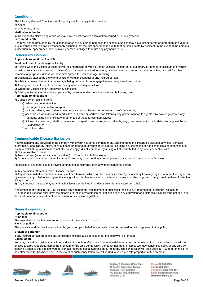## **Conditions**

The following General Conditions of this policy shall not apply to this section.

At Anchor;

## and Other Insurance.

### **Medical examination**

In the event of a claim being made we may have a post-mortem examination carried out at our expense.

### **Presumed death**

Death will not be presumed by the disappearance of any person named in the schedule unless they have disappeared for more than one year in circumstances where it can be reasonably assumed that the disappearance is due to that person's death by accident. In the event of the persons subsequent re-appearance, each surviving person is obliged to return any payments to us.

## **General exclusions**

## **Applicable to sections A and B.**

We do not cover loss, damage or liability:

1) Arising while the vessel is being towed or undertaking towage of other vessels (except as is customary or in need of assistance or whilst providing assistance to a vessel in distress), is chartered or rented to others, used to carry persons or property for a fee, or used for other commercial purposes, unless we have first agreed to such coverage in writing.

2) Deliberately caused by the wrongful acts or wilful misconduct of any insured person.

- 3) While the vessel, if other than a yacht, is being prepared for or engaged in any race, speed test or trial.
- 4) Arising from loss of use of the vessel or any other consequential loss.
- 5) Where the vessel is in an unseaworthy condition.

6) Arising while the vessel is being operated by person/s under the influence of alcohol or any drugs.

## **Applicable to all sections.**

7) Caused by or resulting from:

- a) radioactive contamination;
- b) discharge of any nuclear weapon;
- c) capture, seizure, arrest, detainment, requisition, confiscation or repossession of your vessel;
- d) war declared or undeclared, martial law, or hostile or warlike action taken by any government or its agents, any sovereign power, any authority using naval, military or air forces or those forces themselves;
- e) civil war, insurrection, rebellion, revolution, usurped power or any action taken by any government authority in defending against these happenings; or
- f) acts of terrorism.

## **Communicable Disease Exclusion**

Notwithstanding any provision to the contrary within your insurance contract or any endorsement, this insurance excludes any loss, damage, interruption, legal liability, claim, cost, expense or other sum of whatsoever nature (including any increased or additional costs or expenses of a claim to which this exclusion does not otherwise apply) directly or indirectly arising out of, contributed to by, or in connection with:

1) Communicable Disease; or

2) Fear or threat (whether actual or perceived) of Communicable Disease; or

3) Actions taken by any person, entity or public authority to respond to, control, prevent or suppress Communicable Disease;

regardless of any other cause or event contributing concurrently or in any other sequence thereto.

In this exclusion, 'Communicable Disease' means:

1) Any disease (whether human, animal, plant or otherwise) which can be transmitted directly or indirectly from any organism to another organism by means of any substance or agent (including without limitation any virus, bacterium, parasite or other organism or any variation thereof, whether living or not); or

2) Any Infectious Disease or Quarantinable Disease as defined in or declared under the Health Act 1956.

A reference to the Health Act 1956 includes any amendment, replacement or successor legislation. A reference to Infectious Disease or Quarantinable Disease shall have the meaning found in any replacement definition or of any equivalent or substantially similar term defined in or declared under any amendment, replacement or successor legislation.

## **General conditions**

#### **Applicable to all sections.**

#### **At anchor**

The vessel will not be left unattended at anchor for more than 24 hours.

## **Basis of policy**

The proposal and declaration submitted by you or on your behalf is the basis of and is deemed to be incorporated in this policy.

#### **Breach of condition**

If any insured person breaches any condition in this policy all benefit under the policy will be forfeited.

#### **Cancellation**

You may cancel this policy at any time, and with immediate effect by written notice delivered to us. In the event of such cancellation, we will be entitled to a pro rata proportion of the premium for the time during which the policy has been in force. We may cancel this policy at any time by sending a letter to this effect to you at your last recorded postal address on our records. The cancellation will take effect at 4.00 p.m. on the 14th day after the letter has been sent. In the event of such cancellation, we will refund to you a pro rata proportion of the premium.





Building 6, Eastside Office Park, 15 Accent Drive, East Tamaki, Auckland, New Zealand PO Box 204 362, Highbrook, Auckland 2161